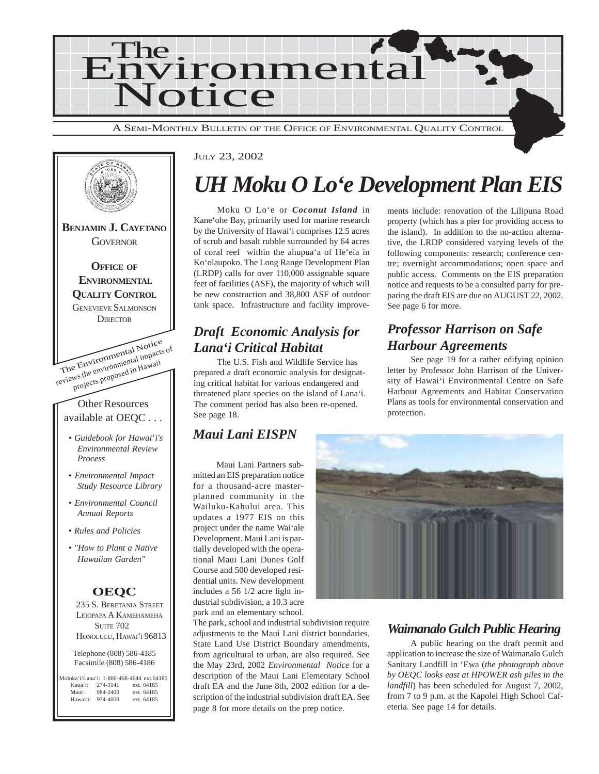



#### JULY 23, 2002

## *UH Moku O Lo'e Development Plan EIS*

Moku O Lo'e or *Coconut Island* in Kane'ohe Bay, primarily used for marine research by the University of Hawai'i comprises 12.5 acres of scrub and basalt rubble surrounded by 64 acres of coral reef within the ahupua'a of He'eia in Ko'olaupoko. The Long Range Development Plan (LRDP) calls for over 110,000 assignable square feet of facilities (ASF), the majority of which will be new construction and 38,800 ASF of outdoor tank space. Infrastructure and facility improve-

### *Draft Economic Analysis for Lana'i Critical Habitat*

The U.S. Fish and Wildlife Service has prepared a draft economic analysis for designating critical habitat for various endangered and threatened plant species on the island of Lana'i. The comment period has also been re-opened. See page 18.

## *Maui Lani EISPN*

Maui Lani Partners submitted an EIS preparation notice for a thousand-acre masterplanned community in the Wailuku-Kahului area. This updates a 1977 EIS on this project under the name Wai'ale Development. Maui Lani is partially developed with the operational Maui Lani Dunes Golf Course and 500 developed residential units. New development includes a 56 1/2 acre light industrial subdivision, a 10.3 acre park and an elementary school.

The park, school and industrial subdivision require adjustments to the Maui Lani district boundaries. State Land Use District Boundary amendments, from agricultural to urban, are also required. See the May 23rd, 2002 *Environmental Notice* for a description of the Maui Lani Elementary School draft EA and the June 8th, 2002 edition for a description of the industrial subdivision draft EA. See page 8 for more details on the prep notice.

#### *Waimanalo Gulch Public Hearing*

A public hearing on the draft permit and application to increase the size of Waimanalo Gulch Sanitary Landfill in 'Ewa (*the photograph above by OEQC looks east at HPOWER ash piles in the landfill*) has been scheduled for August 7, 2002, from 7 to 9 p.m. at the Kapolei High School Cafeteria. See page 14 for details.

ments include: renovation of the Lilipuna Road property (which has a pier for providing access to the island). In addition to the no-action alternative, the LRDP considered varying levels of the following components: research; conference centre; overnight accommodations; open space and public access. Comments on the EIS preparation notice and requests to be a consulted party for preparing the draft EIS are due on AUGUST 22, 2002. See page 6 for more.

## *Professor Harrison on Safe Harbour Agreements*

See page 19 for a rather edifying opinion letter by Professor John Harrison of the University of Hawai'i Environmental Centre on Safe Harbour Agreements and Habitat Conservation Plans as tools for environmental conservation and protection.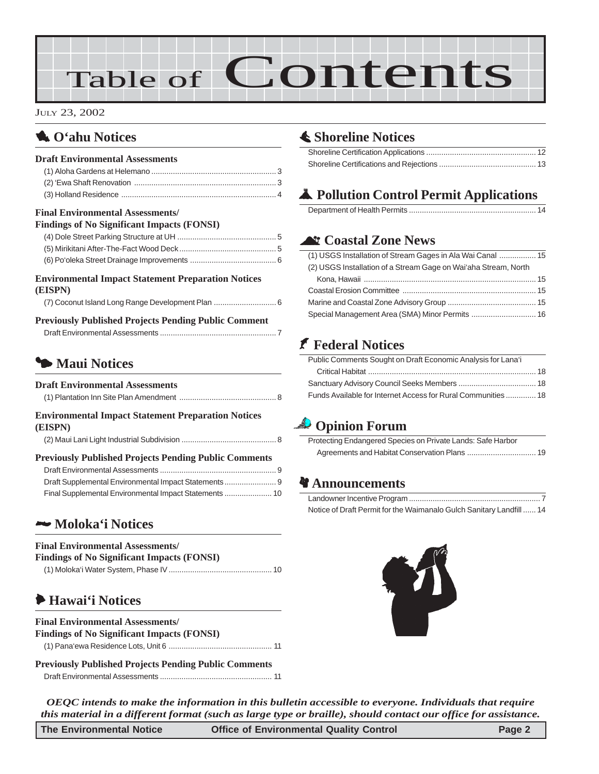# Table of Contents

#### JULY 23, 2002

## 1 **O'ahu Notices**

#### **Draft Environmental Assessments** (1) Aloha Gardens at Helemano [.......................................................... 3](#page-2-0) (2) 'Ewa Shaft Renovation [.................................................................. 3](#page-2-0) (3) Holland Residence [........................................................................ 4](#page-3-0) **Final Environmental Assessments/ Findings of No Significant Impacts (FONSI)** [\(4\) Dole Street Parking Structure at UH .............................................. 5](#page-4-0) [\(5\) Mirikitani After-The-Fact Wood Deck............................................. 5](#page-4-0) [\(6\) Po'oleka Street Drainage Improvements](#page-5-0) ........................................ 6 **Environmental Impact Statement Preparation Notices (EISPN)** [\(7\) Coconut Island Long Range Development Plan](#page-5-0) ............................. 6 **Previously Published Projects Pending Public Comment** Draft Environmental Assessments [...................................................... 7](#page-6-0)

## 3 **Maui Notices**

| <b>Draft Environmental Assessments</b>                    |
|-----------------------------------------------------------|
| <b>Environmental Impact Statement Preparation Notices</b> |
| (EISPN)                                                   |
|                                                           |

## **Previously Published Projects Pending Public Comments**

## 2 **Moloka'i Notices**

#### **Final Environmental Assessments/**

| <b>Findings of No Significant Impacts (FONSI)</b> |  |
|---------------------------------------------------|--|
|                                                   |  |

## 6 **Hawai'i Notices**

| <b>Final Environmental Assessments/</b>           |  |  |
|---------------------------------------------------|--|--|
| <b>Findings of No Significant Impacts (FONSI)</b> |  |  |
|                                                   |  |  |

**Previously Published Projects Pending Public Comments** Draft Environmental Assessments [.................................................... 11](#page-10-0)

## s **Shoreline Notices**

## V **Pollution Control Permit Applications**

## ^ **Coastal Zone News**

| (1) USGS Installation of Stream Gages in Ala Wai Canal  15      |  |
|-----------------------------------------------------------------|--|
| (2) USGS Installation of a Stream Gage on Wai'aha Stream, North |  |
|                                                                 |  |
|                                                                 |  |
|                                                                 |  |
|                                                                 |  |

## J **Federal Notices**

| Public Comments Sought on Draft Economic Analysis for Lana'i  |  |
|---------------------------------------------------------------|--|
|                                                               |  |
|                                                               |  |
| Funds Available for Internet Access for Rural Communities  18 |  |

## **Opinion Forum**

| Protecting Endangered Species on Private Lands: Safe Harbor |  |
|-------------------------------------------------------------|--|
|                                                             |  |

## c **Announcements**

Landowner Incentive Program ............................................................. 7 Notice of Draft Permit for the Waimanalo Gulch Sanitary Landfill ...... 14



*OEQC intends to make the information in this bulletin accessible to everyone. Individuals that require this material in a different format (such as large type or braille), should contact our office for assistance.*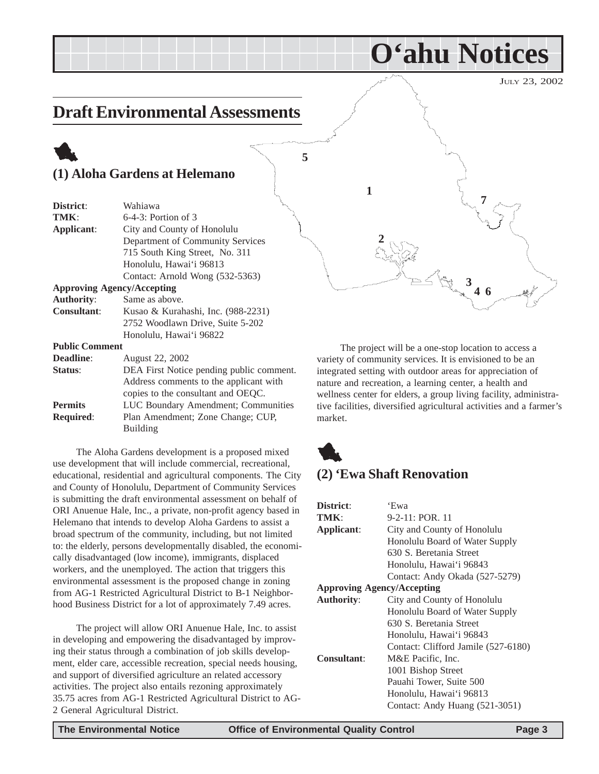## <span id="page-2-0"></span>**Draft Environmental Assessments**

## 1 **(1) Aloha Gardens at Helemano**

| District:             | فهيم<br>Wahiawa                          |
|-----------------------|------------------------------------------|
| TMK:                  | $6-4-3$ : Portion of 3                   |
| Applicant:            | City and County of Honolulu              |
|                       | Department of Community Services         |
|                       | 715 South King Street, No. 311           |
|                       | Honolulu, Hawai'i 96813                  |
|                       | Contact: Arnold Wong (532-5363)          |
|                       | <b>Approving Agency/Accepting</b>        |
| <b>Authority:</b>     | Same as above.                           |
| <b>Consultant:</b>    | Kusao & Kurahashi, Inc. (988-2231)       |
|                       | 2752 Woodlawn Drive, Suite 5-202         |
|                       | Honolulu, Hawai'i 96822                  |
| <b>Public Comment</b> |                                          |
| <b>Deadline:</b>      | <b>August 22, 2002</b>                   |
| Status:               | DEA First Notice pending public comment. |
|                       | Address comments to the applicant with   |
|                       | copies to the consultant and OEQC.       |
| <b>Permits</b>        | LUC Boundary Amendment; Communities      |
| <b>Required:</b>      | Plan Amendment; Zone Change; CUP,        |
|                       | Building                                 |

The Aloha Gardens development is a proposed mixed use development that will include commercial, recreational, educational, residential and agricultural components. The City and County of Honolulu, Department of Community Services is submitting the draft environmental assessment on behalf of ORI Anuenue Hale, Inc., a private, non-profit agency based in Helemano that intends to develop Aloha Gardens to assist a broad spectrum of the community, including, but not limited to: the elderly, persons developmentally disabled, the economically disadvantaged (low income), immigrants, displaced workers, and the unemployed. The action that triggers this environmental assessment is the proposed change in zoning from AG-1 Restricted Agricultural District to B-1 Neighborhood Business District for a lot of approximately 7.49 acres.

The project will allow ORI Anuenue Hale, Inc. to assist in developing and empowering the disadvantaged by improving their status through a combination of job skills development, elder care, accessible recreation, special needs housing, and support of diversified agriculture an related accessory activities. The project also entails rezoning approximately 35.75 acres from AG-1 Restricted Agricultural District to AG-2 General Agricultural District.

**1 4 6 2 3 7**

**O'ahu Notices**

JULY 23, 2002

The project will be a one-stop location to access a variety of community services. It is envisioned to be an integrated setting with outdoor areas for appreciation of nature and recreation, a learning center, a health and wellness center for elders, a group living facility, administrative facilities, diversified agricultural activities and a farmer's market.



**5**

#### **(2) 'Ewa Shaft Renovation**

| District:                         | 'Ewa                                |
|-----------------------------------|-------------------------------------|
| TMK:                              | $9 - 2 - 11$ : POR 11               |
| Applicant:                        | City and County of Honolulu         |
|                                   | Honolulu Board of Water Supply      |
|                                   | 630 S. Beretania Street             |
|                                   | Honolulu, Hawai'i 96843             |
|                                   | Contact: Andy Okada (527-5279)      |
| <b>Approving Agency/Accepting</b> |                                     |
| <b>Authority:</b>                 | City and County of Honolulu         |
|                                   | Honolulu Board of Water Supply      |
|                                   | 630 S. Beretania Street             |
|                                   | Honolulu, Hawai'i 96843             |
|                                   | Contact: Clifford Jamile (527-6180) |
| <b>Consultant:</b>                | M&E Pacific, Inc.                   |
|                                   | 1001 Bishop Street                  |
|                                   | Pauahi Tower, Suite 500             |
|                                   | Honolulu, Hawai'i 96813             |
|                                   | Contact: Andy Huang (521-3051)      |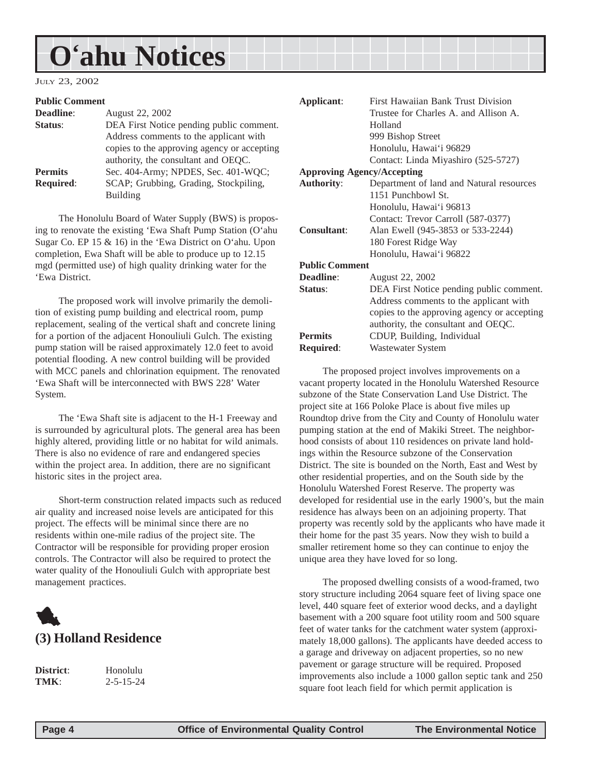# <span id="page-3-0"></span>**O'ahu Notices**

#### JULY 23, 2002

#### **Public Comment**

| <b>Deadline:</b> | August 22, 2002                             |
|------------------|---------------------------------------------|
| Status:          | DEA First Notice pending public comment.    |
|                  | Address comments to the applicant with      |
|                  | copies to the approving agency or accepting |
|                  | authority, the consultant and OEQC.         |
| <b>Permits</b>   | Sec. 404-Army; NPDES, Sec. 401-WQC;         |
| <b>Required:</b> | SCAP; Grubbing, Grading, Stockpiling,       |
|                  | Building                                    |

The Honolulu Board of Water Supply (BWS) is proposing to renovate the existing 'Ewa Shaft Pump Station (O'ahu Sugar Co. EP 15 & 16) in the 'Ewa District on O'ahu. Upon completion, Ewa Shaft will be able to produce up to 12.15 mgd (permitted use) of high quality drinking water for the 'Ewa District.

The proposed work will involve primarily the demolition of existing pump building and electrical room, pump replacement, sealing of the vertical shaft and concrete lining for a portion of the adjacent Honouliuli Gulch. The existing pump station will be raised approximately 12.0 feet to avoid potential flooding. A new control building will be provided with MCC panels and chlorination equipment. The renovated 'Ewa Shaft will be interconnected with BWS 228' Water System.

The 'Ewa Shaft site is adjacent to the H-1 Freeway and is surrounded by agricultural plots. The general area has been highly altered, providing little or no habitat for wild animals. There is also no evidence of rare and endangered species within the project area. In addition, there are no significant historic sites in the project area.

Short-term construction related impacts such as reduced air quality and increased noise levels are anticipated for this project. The effects will be minimal since there are no residents within one-mile radius of the project site. The Contractor will be responsible for providing proper erosion controls. The Contractor will also be required to protect the water quality of the Honouliuli Gulch with appropriate best management practices.



**District**: Honolulu **TMK**: 2-5-15-24

| Applicant:            | First Hawaiian Bank Trust Division          |
|-----------------------|---------------------------------------------|
|                       | Trustee for Charles A, and Allison A.       |
|                       | Holland                                     |
|                       | 999 Bishop Street                           |
|                       | Honolulu, Hawai'i 96829                     |
|                       | Contact: Linda Miyashiro (525-5727)         |
|                       | <b>Approving Agency/Accepting</b>           |
| <b>Authority:</b>     | Department of land and Natural resources    |
|                       | 1151 Punchbowl St.                          |
|                       | Honolulu, Hawai'i 96813                     |
|                       | Contact: Trevor Carroll (587-0377)          |
| Consultant:           | Alan Ewell (945-3853 or 533-2244)           |
|                       | 180 Forest Ridge Way                        |
|                       | Honolulu, Hawai'i 96822                     |
| <b>Public Comment</b> |                                             |
| Deadline:             | <b>August 22, 2002</b>                      |
| Status:               | DEA First Notice pending public comment.    |
|                       | Address comments to the applicant with      |
|                       | copies to the approving agency or accepting |
|                       | authority, the consultant and OEQC.         |
| <b>Permits</b>        | CDUP, Building, Individual                  |
| <b>Required:</b>      | Wastewater System                           |
|                       |                                             |

The proposed project involves improvements on a vacant property located in the Honolulu Watershed Resource subzone of the State Conservation Land Use District. The project site at 166 Poloke Place is about five miles up Roundtop drive from the City and County of Honolulu water pumping station at the end of Makiki Street. The neighborhood consists of about 110 residences on private land holdings within the Resource subzone of the Conservation District. The site is bounded on the North, East and West by other residential properties, and on the South side by the Honolulu Watershed Forest Reserve. The property was developed for residential use in the early 1900's, but the main residence has always been on an adjoining property. That property was recently sold by the applicants who have made it their home for the past 35 years. Now they wish to build a smaller retirement home so they can continue to enjoy the unique area they have loved for so long.

The proposed dwelling consists of a wood-framed, two story structure including 2064 square feet of living space one level, 440 square feet of exterior wood decks, and a daylight basement with a 200 square foot utility room and 500 square feet of water tanks for the catchment water system (approximately 18,000 gallons). The applicants have deeded access to a garage and driveway on adjacent properties, so no new pavement or garage structure will be required. Proposed improvements also include a 1000 gallon septic tank and 250 square foot leach field for which permit application is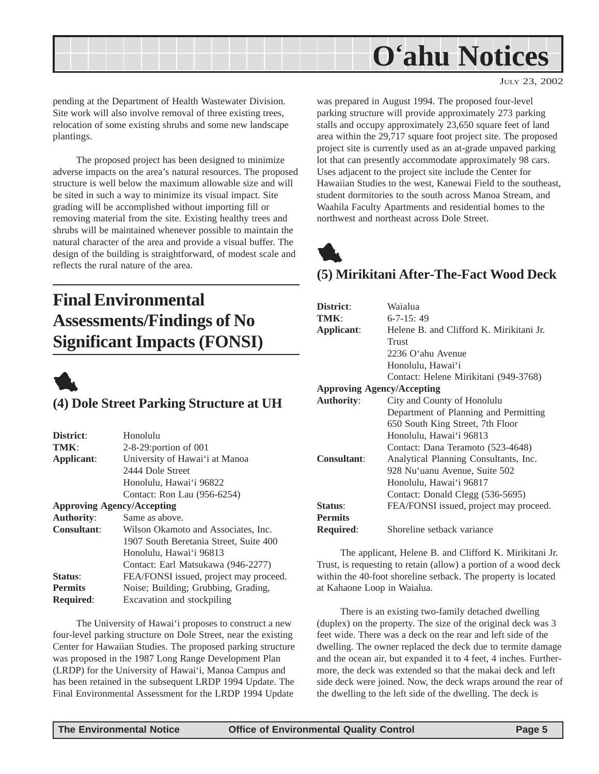<span id="page-4-0"></span>

JULY 23, 2002

pending at the Department of Health Wastewater Division. Site work will also involve removal of three existing trees, relocation of some existing shrubs and some new landscape plantings.

The proposed project has been designed to minimize adverse impacts on the area's natural resources. The proposed structure is well below the maximum allowable size and will be sited in such a way to minimize its visual impact. Site grading will be accomplished without importing fill or removing material from the site. Existing healthy trees and shrubs will be maintained whenever possible to maintain the natural character of the area and provide a visual buffer. The design of the building is straightforward, of modest scale and reflects the rural nature of the area.

## **Final Environmental Assessments/Findings of No Significant Impacts (FONSI)**



## **(4) Dole Street Parking Structure at UH**

| District:          | Honolulu                               |
|--------------------|----------------------------------------|
| TMK:               | $2-8-29$ : portion of 001              |
| Applicant:         | University of Hawai'i at Manoa         |
|                    | 2444 Dole Street                       |
|                    | Honolulu, Hawai'i 96822                |
|                    | Contact: Ron Lau (956-6254)            |
|                    | <b>Approving Agency/Accepting</b>      |
| <b>Authority:</b>  | Same as above.                         |
| <b>Consultant:</b> | Wilson Okamoto and Associates, Inc.    |
|                    | 1907 South Beretania Street, Suite 400 |
|                    | Honolulu, Hawai'i 96813                |
|                    | Contact: Earl Matsukawa (946-2277)     |
| Status:            | FEA/FONSI issued, project may proceed. |
| <b>Permits</b>     | Noise; Building; Grubbing, Grading,    |
| <b>Required:</b>   | Excavation and stockpiling             |
|                    |                                        |

The University of Hawai'i proposes to construct a new four-level parking structure on Dole Street, near the existing Center for Hawaiian Studies. The proposed parking structure was proposed in the 1987 Long Range Development Plan (LRDP) for the University of Hawai'i, Manoa Campus and has been retained in the subsequent LRDP 1994 Update. The Final Environmental Assessment for the LRDP 1994 Update

was prepared in August 1994. The proposed four-level parking structure will provide approximately 273 parking stalls and occupy approximately 23,650 square feet of land area within the 29,717 square foot project site. The proposed project site is currently used as an at-grade unpaved parking lot that can presently accommodate approximately 98 cars. Uses adjacent to the project site include the Center for Hawaiian Studies to the west, Kanewai Field to the southeast, student dormitories to the south across Manoa Stream, and Waahila Faculty Apartments and residential homes to the northwest and northeast across Dole Street.



## **(5) Mirikitani After-The-Fact Wood Deck**

| Waialua                                  |
|------------------------------------------|
| $6 - 7 - 15$ : 49                        |
| Helene B. and Clifford K. Mirikitani Jr. |
| Trust                                    |
| 2236 O'ahu Avenue                        |
| Honolulu, Hawai'i                        |
| Contact: Helene Mirikitani (949-3768)    |
| <b>Approving Agency/Accepting</b>        |
| City and County of Honolulu              |
| Department of Planning and Permitting    |
| 650 South King Street, 7th Floor         |
| Honolulu, Hawai'i 96813                  |
| Contact: Dana Teramoto (523-4648)        |
| Analytical Planning Consultants, Inc.    |
| 928 Nu'uanu Avenue, Suite 502            |
| Honolulu, Hawai'i 96817                  |
| Contact: Donald Clegg (536-5695)         |
| FEA/FONSI issued, project may proceed.   |
|                                          |
| Shoreline setback variance               |
|                                          |

The applicant, Helene B. and Clifford K. Mirikitani Jr. Trust, is requesting to retain (allow) a portion of a wood deck within the 40-foot shoreline setback. The property is located at Kahaone Loop in Waialua.

There is an existing two-family detached dwelling (duplex) on the property. The size of the original deck was 3 feet wide. There was a deck on the rear and left side of the dwelling. The owner replaced the deck due to termite damage and the ocean air, but expanded it to 4 feet, 4 inches. Furthermore, the deck was extended so that the makai deck and left side deck were joined. Now, the deck wraps around the rear of the dwelling to the left side of the dwelling. The deck is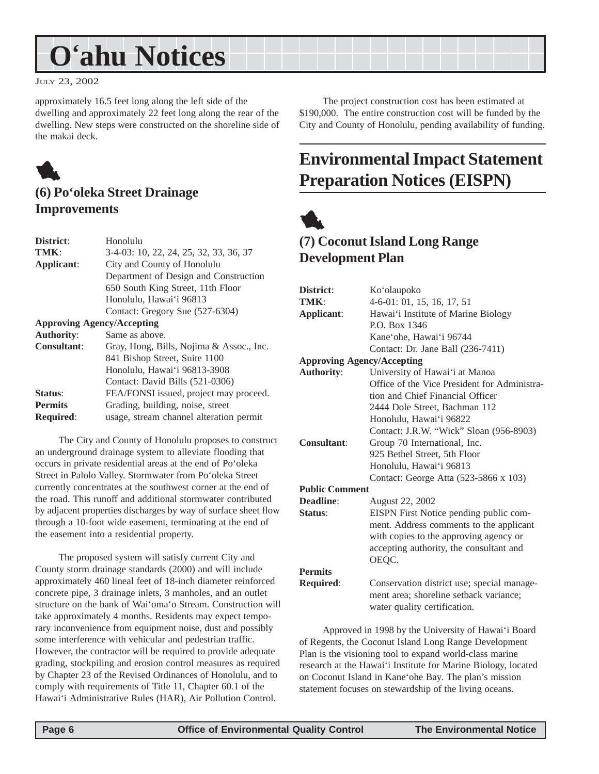# <span id="page-5-0"></span>**O'ahu Notices**

JULY 23, 2002

approximately 16.5 feet long along the left side of the dwelling and approximately 22 feet long along the rear of the dwelling. New steps were constructed on the shoreline side of the makai deck.

1

## **(6) Po'oleka Street Drainage Improvements**

| District:          | Honolulu                                                                                             |
|--------------------|------------------------------------------------------------------------------------------------------|
| TMK:               | 3-4-03: 10, 22, 24, 25, 32, 33, 36, 37                                                               |
| Applicant:         | City and County of Honolulu                                                                          |
|                    | Department of Design and Construction                                                                |
|                    | 650 South King Street, 11th Floor                                                                    |
|                    | Honolulu, Hawai'i 96813                                                                              |
|                    | Contact: Gregory Sue (527-6304)                                                                      |
|                    | <b>Approving Agency/Accepting</b>                                                                    |
| <b>Authority:</b>  | Same as above.                                                                                       |
| <b>Consultant:</b> | Gray, Hong, Bills, Nojima & Assoc., Inc.                                                             |
|                    | 841 Bishop Street, Suite 1100                                                                        |
|                    | $\mathbf{H} = \mathbf{H} \mathbf{H}$ <b>TE</b> $\mathbf{H} = \mathbf{H} \mathbf{G}$ and $\mathbf{H}$ |

|                  | Honolulu, Hawai'i 96813-3908            |
|------------------|-----------------------------------------|
|                  | Contact: David Bills (521-0306)         |
| Status:          | FEA/FONSI issued, project may proceed.  |
| <b>Permits</b>   | Grading, building, noise, street        |
| <b>Required:</b> | usage, stream channel alteration permit |

The City and County of Honolulu proposes to construct an underground drainage system to alleviate flooding that occurs in private residential areas at the end of Po'oleka Street in Palolo Valley. Stormwater from Po'oleka Street currently concentrates at the southwest corner at the end of the road. This runoff and additional stormwater contributed by adjacent properties discharges by way of surface sheet flow through a 10-foot wide easement, terminating at the end of the easement into a residential property.

The proposed system will satisfy current City and County storm drainage standards (2000) and will include approximately 460 lineal feet of 18-inch diameter reinforced concrete pipe, 3 drainage inlets, 3 manholes, and an outlet structure on the bank of Wai'oma'o Stream. Construction will take approximately 4 months. Residents may expect temporary inconvenience from equipment noise, dust and possibly some interference with vehicular and pedestrian traffic. However, the contractor will be required to provide adequate grading, stockpiling and erosion control measures as required by Chapter 23 of the Revised Ordinances of Honolulu, and to comply with requirements of Title 11, Chapter 60.1 of the Hawai'i Administrative Rules (HAR), Air Pollution Control.

The project construction cost has been estimated at \$190,000. The entire construction cost will be funded by the City and County of Honolulu, pending availability of funding.

## **Environmental Impact Statement Preparation Notices (EISPN)**



### **(7) Coconut Island Long Range Development Plan**

| District:                         | Ko'olaupoko                                  |
|-----------------------------------|----------------------------------------------|
| TMK:                              | $4-6-01: 01, 15, 16, 17, 51$                 |
| Applicant:                        | Hawai'i Institute of Marine Biology          |
|                                   | P.O. Box 1346                                |
|                                   | Kane'ohe, Hawai'i 96744                      |
|                                   | Contact: Dr. Jane Ball (236-7411)            |
| <b>Approving Agency/Accepting</b> |                                              |
|                                   | University of Hawai'i at Manoa               |
| <b>Authority:</b>                 |                                              |
|                                   | Office of the Vice President for Administra- |
|                                   | tion and Chief Financial Officer             |
|                                   | 2444 Dole Street, Bachman 112                |
|                                   | Honolulu, Hawai'i 96822                      |
|                                   | Contact: J.R.W. "Wick" Sloan (956-8903)      |
| Consultant:                       | Group 70 International, Inc.                 |
|                                   | 925 Bethel Street, 5th Floor                 |
|                                   | Honolulu, Hawai'i 96813                      |
|                                   | Contact: George Atta (523-5866 x 103)        |
| <b>Public Comment</b>             |                                              |
| Deadline:                         | <b>August 22, 2002</b>                       |
| Status:                           | EISPN First Notice pending public com-       |
|                                   | ment. Address comments to the applicant      |
|                                   | with copies to the approving agency or       |
|                                   | accepting authority, the consultant and      |
|                                   | OEQC.                                        |
| <b>Permits</b>                    |                                              |
| <b>Required:</b>                  | Conservation district use; special manage-   |
|                                   | ment area; shoreline setback variance;       |
|                                   | water quality certification.                 |
|                                   |                                              |

Approved in 1998 by the University of Hawai'i Board of Regents, the Coconut Island Long Range Development Plan is the visioning tool to expand world-class marine research at the Hawai'i Institute for Marine Biology, located on Coconut Island in Kane'ohe Bay. The plan's mission statement focuses on stewardship of the living oceans.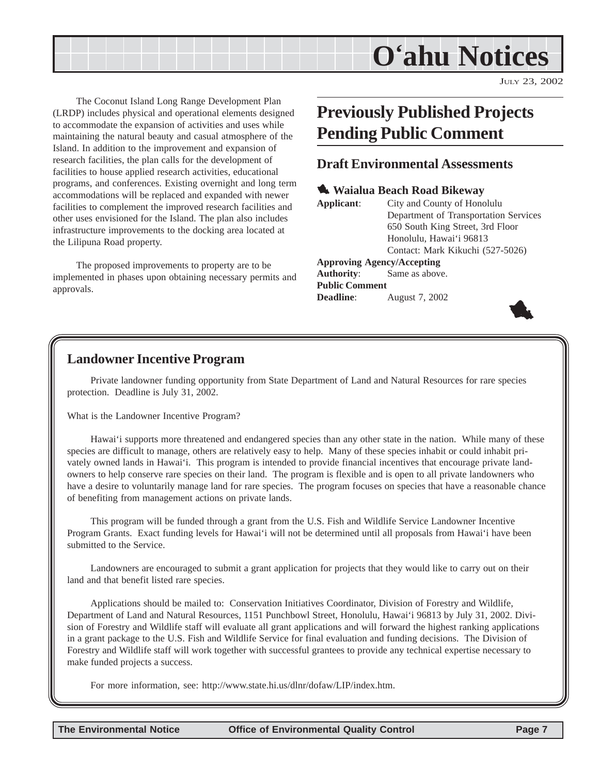## **O'ahu Notices**

JULY 23, 2002

<span id="page-6-0"></span>The Coconut Island Long Range Development Plan (LRDP) includes physical and operational elements designed to accommodate the expansion of activities and uses while maintaining the natural beauty and casual atmosphere of the Island. In addition to the improvement and expansion of research facilities, the plan calls for the development of facilities to house applied research activities, educational programs, and conferences. Existing overnight and long term accommodations will be replaced and expanded with newer facilities to complement the improved research facilities and other uses envisioned for the Island. The plan also includes infrastructure improvements to the docking area located at the Lilipuna Road property.

The proposed improvements to property are to be implemented in phases upon obtaining necessary permits and approvals.

## **Previously Published Projects Pending Public Comment**

#### **Draft Environmental Assessments**

#### 1 **Waialua Beach Road Bikeway**

**Applicant**: City and County of Honolulu Department of Transportation Services 650 South King Street, 3rd Floor Honolulu, Hawai'i 96813 Contact: Mark Kikuchi (527-5026) **Approving Agency/Accepting Authority**: Same as above.

**Public Comment Deadline**: August 7, 2002



### **Landowner Incentive Program**

Private landowner funding opportunity from State Department of Land and Natural Resources for rare species protection. Deadline is July 31, 2002.

What is the Landowner Incentive Program?

Hawai'i supports more threatened and endangered species than any other state in the nation. While many of these species are difficult to manage, others are relatively easy to help. Many of these species inhabit or could inhabit privately owned lands in Hawai'i. This program is intended to provide financial incentives that encourage private landowners to help conserve rare species on their land. The program is flexible and is open to all private landowners who have a desire to voluntarily manage land for rare species. The program focuses on species that have a reasonable chance of benefiting from management actions on private lands.

This program will be funded through a grant from the U.S. Fish and Wildlife Service Landowner Incentive Program Grants. Exact funding levels for Hawai'i will not be determined until all proposals from Hawai'i have been submitted to the Service.

Landowners are encouraged to submit a grant application for projects that they would like to carry out on their land and that benefit listed rare species.

Applications should be mailed to: Conservation Initiatives Coordinator, Division of Forestry and Wildlife, Department of Land and Natural Resources, 1151 Punchbowl Street, Honolulu, Hawai'i 96813 by July 31, 2002. Division of Forestry and Wildlife staff will evaluate all grant applications and will forward the highest ranking applications in a grant package to the U.S. Fish and Wildlife Service for final evaluation and funding decisions. The Division of Forestry and Wildlife staff will work together with successful grantees to provide any technical expertise necessary to make funded projects a success.

For more information, see: http://www.state.hi.us/dlnr/dofaw/LIP/index.htm.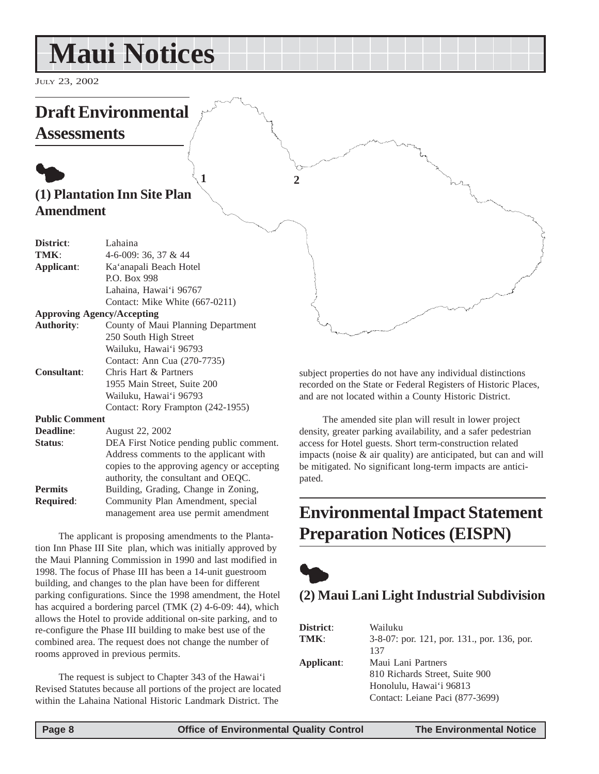# <span id="page-7-0"></span>**Maui Notices**

JULY 23, 2002

## **Draft Environmental**

**Assessments**

## $\bullet$ **(1) Plantation Inn Site Plan Amendment**

| District:                         | Lahaina                                  |
|-----------------------------------|------------------------------------------|
| TMK:                              | 4-6-009: 36, 37 & 44                     |
| Applicant:                        | Ka'anapali Beach Hotel                   |
|                                   | P.O. Box 998                             |
|                                   | Lahaina, Hawai'i 96767                   |
|                                   | Contact: Mike White (667-0211)           |
| <b>Approving Agency/Accepting</b> |                                          |
| <b>Authority:</b>                 | County of Maui Planning Department       |
|                                   | 250 South High Street                    |
|                                   | Wailuku, Hawai'i 96793                   |
|                                   | Contact: Ann Cua (270-7735)              |
| <b>Consultant:</b>                | Chris Hart & Partners                    |
|                                   | 1955 Main Street, Suite 200              |
|                                   | Wailuku, Hawai'i 96793                   |
|                                   | Contact: Rory Frampton (242-1955)        |
| <b>Public Comment</b>             |                                          |
| <b>Deadline:</b>                  | <b>August 22, 2002</b>                   |
| Status:                           | DEA First Notice pending public comment. |
|                                   | Address comments to the applicant with   |

copies to the approving agency or accepting authority, the consultant and OEQC. **Permits** Building, Grading, Change in Zoning, **Required**: Community Plan Amendment, special management area use permit amendment

The applicant is proposing amendments to the Plantation Inn Phase III Site plan, which was initially approved by the Maui Planning Commission in 1990 and last modified in 1998. The focus of Phase III has been a 14-unit guestroom building, and changes to the plan have been for different parking configurations. Since the 1998 amendment, the Hotel has acquired a bordering parcel (TMK (2) 4-6-09: 44), which allows the Hotel to provide additional on-site parking, and to re-configure the Phase III building to make best use of the combined area. The request does not change the number of rooms approved in previous permits.

The request is subject to Chapter 343 of the Hawai'i Revised Statutes because all portions of the project are located within the Lahaina National Historic Landmark District. The

subject properties do not have any individual distinctions recorded on the State or Federal Registers of Historic Places, and are not located within a County Historic District.

The amended site plan will result in lower project density, greater parking availability, and a safer pedestrian access for Hotel guests. Short term-construction related impacts (noise & air quality) are anticipated, but can and will be mitigated. No significant long-term impacts are anticipated.

## **Environmental Impact Statement Preparation Notices (EISPN)**



## **(2) Maui Lani Light Industrial Subdivision**

| <b>District:</b> | Wailuku                                     |
|------------------|---------------------------------------------|
| TMK:             | 3-8-07: por. 121, por. 131., por. 136, por. |
|                  | 137                                         |
| Applicant:       | Maui Lani Partners                          |
|                  | 810 Richards Street, Suite 900              |
|                  | Honolulu, Hawai'i 96813                     |
|                  | Contact: Leiane Paci (877-3699)             |

**1 2**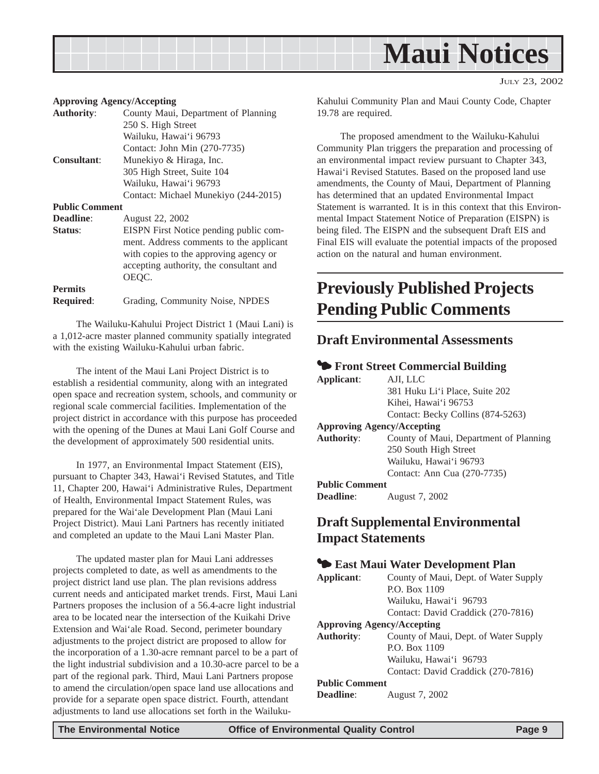<span id="page-8-0"></span>

#### **Approving Agency/Accepting**

| <b>Authority:</b>     | County Maui, Department of Planning     |
|-----------------------|-----------------------------------------|
|                       | 250 S. High Street                      |
|                       | Wailuku, Hawai'i 96793                  |
|                       | Contact: John Min (270-7735)            |
| <b>Consultant:</b>    | Munekiyo & Hiraga, Inc.                 |
|                       | 305 High Street, Suite 104              |
|                       | Wailuku, Hawai'i 96793                  |
|                       | Contact: Michael Munekiyo (244-2015)    |
| <b>Public Comment</b> |                                         |
| Deadline:             | <b>August 22, 2002</b>                  |
| Status:               | EISPN First Notice pending public com-  |
|                       | ment. Address comments to the applicant |
|                       | with copies to the approving agency or  |
|                       | accepting authority, the consultant and |
|                       | OEOC.                                   |
| <b>Permits</b>        |                                         |
| <b>Required:</b>      | Grading, Community Noise, NPDES         |

The Wailuku-Kahului Project District 1 (Maui Lani) is a 1,012-acre master planned community spatially integrated with the existing Wailuku-Kahului urban fabric.

The intent of the Maui Lani Project District is to establish a residential community, along with an integrated open space and recreation system, schools, and community or regional scale commercial facilities. Implementation of the project district in accordance with this purpose has proceeded with the opening of the Dunes at Maui Lani Golf Course and the development of approximately 500 residential units.

In 1977, an Environmental Impact Statement (EIS), pursuant to Chapter 343, Hawai'i Revised Statutes, and Title 11, Chapter 200, Hawai'i Administrative Rules, Department of Health, Environmental Impact Statement Rules, was prepared for the Wai'ale Development Plan (Maui Lani Project District). Maui Lani Partners has recently initiated and completed an update to the Maui Lani Master Plan.

The updated master plan for Maui Lani addresses projects completed to date, as well as amendments to the project district land use plan. The plan revisions address current needs and anticipated market trends. First, Maui Lani Partners proposes the inclusion of a 56.4-acre light industrial area to be located near the intersection of the Kuikahi Drive Extension and Wai'ale Road. Second, perimeter boundary adjustments to the project district are proposed to allow for the incorporation of a 1.30-acre remnant parcel to be a part of the light industrial subdivision and a 10.30-acre parcel to be a part of the regional park. Third, Maui Lani Partners propose to amend the circulation/open space land use allocations and provide for a separate open space district. Fourth, attendant adjustments to land use allocations set forth in the WailukuJULY 23, 2002

Kahului Community Plan and Maui County Code, Chapter 19.78 are required.

The proposed amendment to the Wailuku-Kahului Community Plan triggers the preparation and processing of an environmental impact review pursuant to Chapter 343, Hawai'i Revised Statutes. Based on the proposed land use amendments, the County of Maui, Department of Planning has determined that an updated Environmental Impact Statement is warranted. It is in this context that this Environmental Impact Statement Notice of Preparation (EISPN) is being filed. The EISPN and the subsequent Draft EIS and Final EIS will evaluate the potential impacts of the proposed action on the natural and human environment.

## **Previously Published Projects Pending Public Comments**

#### **Draft Environmental Assessments**

#### 3 **Front Street Commercial Building**

| Applicant:            | AJI, LLC                               |
|-----------------------|----------------------------------------|
|                       | 381 Huku Li'i Place, Suite 202         |
|                       | Kihei, Hawai'i 96753                   |
|                       | Contact: Becky Collins (874-5263)      |
|                       | <b>Approving Agency/Accepting</b>      |
| <b>Authority:</b>     | County of Maui, Department of Planning |
|                       | 250 South High Street                  |
|                       | Wailuku, Hawai'i 96793                 |
|                       | Contact: Ann Cua (270-7735)            |
| <b>Public Comment</b> |                                        |
| <b>Deadline:</b>      | August 7, 2002                         |

#### **Draft Supplemental Environmental Impact Statements**

#### 3 **East Maui Water Development Plan Applicant**: County of Maui, Dept. of Water Supply P.O. Box 1109 Wailuku, Hawai'i 96793 Contact: David Craddick (270-7816) **Approving Agency/Accepting Authority**: County of Maui, Dept. of Water Supply P.O. Box 1109 Wailuku, Hawai'i 96793 Contact: David Craddick (270-7816) **Public Comment Deadline**: August 7, 2002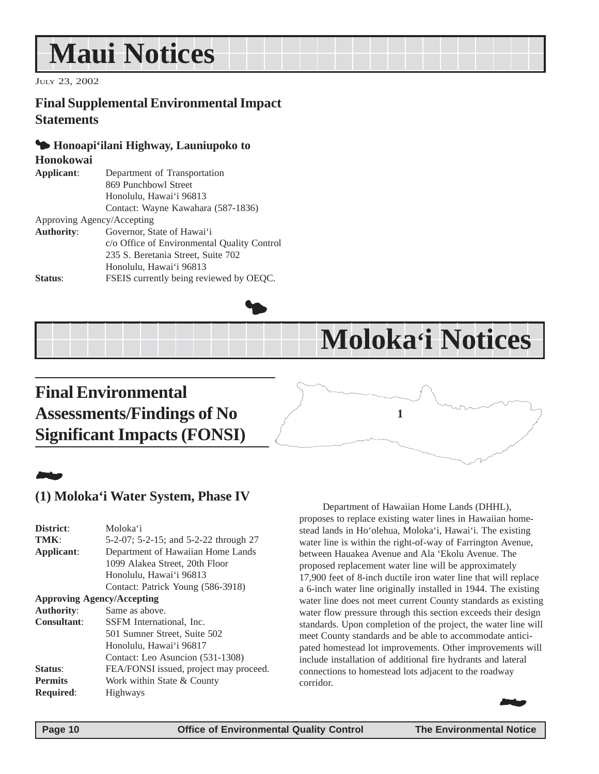# <span id="page-9-0"></span>**Maui Notices**

JULY 23, 2002

## **Final Supplemental Environmental Impact Statements**

#### 3 **Honoapi'ilani Highway, Launiupoko to**

#### **Honokowai**

| Applicant:                 | Department of Transportation                |
|----------------------------|---------------------------------------------|
|                            | 869 Punchbowl Street                        |
|                            | Honolulu, Hawai'i 96813                     |
|                            | Contact: Wayne Kawahara (587-1836)          |
| Approving Agency/Accepting |                                             |
| <b>Authority:</b>          | Governor, State of Hawai'i                  |
|                            | c/o Office of Environmental Quality Control |
|                            | 235 S. Beretania Street, Suite 702          |
|                            | Honolulu, Hawai'i 96813                     |
| Status:                    | FSEIS currently being reviewed by OEQC.     |

## **Final Environmental Assessments/Findings of No Significant Impacts (FONSI)**

## 22**.**

### **(1) Moloka'i Water System, Phase IV**

**District**: Moloka'i **TMK**: 5-2-07; 5-2-15; and 5-2-22 through 27 **Applicant**: Department of Hawaiian Home Lands 1099 Alakea Street, 20th Floor Honolulu, Hawai'i 96813 Contact: Patrick Young (586-3918) **Approving Agency/Accepting Authority**: Same as above. **Consultant**: SSFM International, Inc. 501 Sumner Street, Suite 502 Honolulu, Hawai'i 96817 Contact: Leo Asuncion (531-1308) **Status:** FEA/FONSI issued, project may proceed. **Permits** Work within State & County **Required**: Highways

Department of Hawaiian Home Lands (DHHL), proposes to replace existing water lines in Hawaiian homestead lands in Ho'olehua, Moloka'i, Hawai'i. The existing water line is within the right-of-way of Farrington Avenue, between Hauakea Avenue and Ala 'Ekolu Avenue. The proposed replacement water line will be approximately 17,900 feet of 8-inch ductile iron water line that will replace a 6-inch water line originally installed in 1944. The existing water line does not meet current County standards as existing water flow pressure through this section exceeds their design standards. Upon completion of the project, the water line will meet County standards and be able to accommodate anticipated homestead lot improvements. Other improvements will include installation of additional fire hydrants and lateral connections to homestead lots adjacent to the roadway corridor.

**Moloka'i Notices**

**1**



 $\bullet$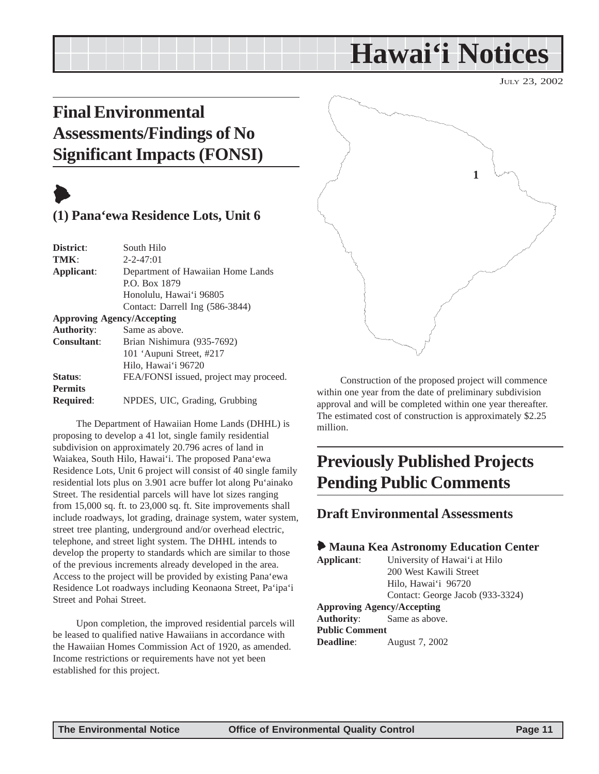## **Hawai'i Notices**

JULY 23, 2002

## <span id="page-10-0"></span>**Final Environmental Assessments/Findings of No Significant Impacts (FONSI)**

## $\blacktriangleright$

### **(1) Pana'ewa Residence Lots, Unit 6**

| District:         | South Hilo                             |
|-------------------|----------------------------------------|
| TMK:              | $2 - 2 - 47:01$                        |
| Applicant:        | Department of Hawaiian Home Lands      |
|                   | P.O. Box 1879                          |
|                   | Honolulu, Hawai'i 96805                |
|                   | Contact: Darrell Ing (586-3844)        |
|                   | <b>Approving Agency/Accepting</b>      |
| <b>Authority:</b> | Same as above.                         |
| Consultant:       | Brian Nishimura (935-7692)             |
|                   | 101 'Aupuni Street, #217               |
|                   | Hilo, Hawai'i 96720                    |
| Status:           | FEA/FONSI issued, project may proceed. |
| <b>Permits</b>    |                                        |
| <b>Required:</b>  | NPDES, UIC, Grading, Grubbing          |

The Department of Hawaiian Home Lands (DHHL) is proposing to develop a 41 lot, single family residential subdivision on approximately 20.796 acres of land in Waiakea, South Hilo, Hawai'i. The proposed Pana'ewa Residence Lots, Unit 6 project will consist of 40 single family residential lots plus on 3.901 acre buffer lot along Pu'ainako Street. The residential parcels will have lot sizes ranging from 15,000 sq. ft. to 23,000 sq. ft. Site improvements shall include roadways, lot grading, drainage system, water system, street tree planting, underground and/or overhead electric, telephone, and street light system. The DHHL intends to develop the property to standards which are similar to those of the previous increments already developed in the area. Access to the project will be provided by existing Pana'ewa Residence Lot roadways including Keonaona Street, Pa'ipa'i Street and Pohai Street.

Upon completion, the improved residential parcels will be leased to qualified native Hawaiians in accordance with the Hawaiian Homes Commission Act of 1920, as amended. Income restrictions or requirements have not yet been established for this project.



Construction of the proposed project will commence within one year from the date of preliminary subdivision approval and will be completed within one year thereafter. The estimated cost of construction is approximately \$2.25 million.

## **Previously Published Projects Pending Public Comments**

#### **Draft Environmental Assessments**

#### 6 **Mauna Kea Astronomy Education Center**

**Applicant**: University of Hawai'i at Hilo 200 West Kawili Street Hilo, Hawai'i 96720 Contact: George Jacob (933-3324) **Approving Agency/Accepting Authority**: Same as above. **Public Comment Deadline**: August 7, 2002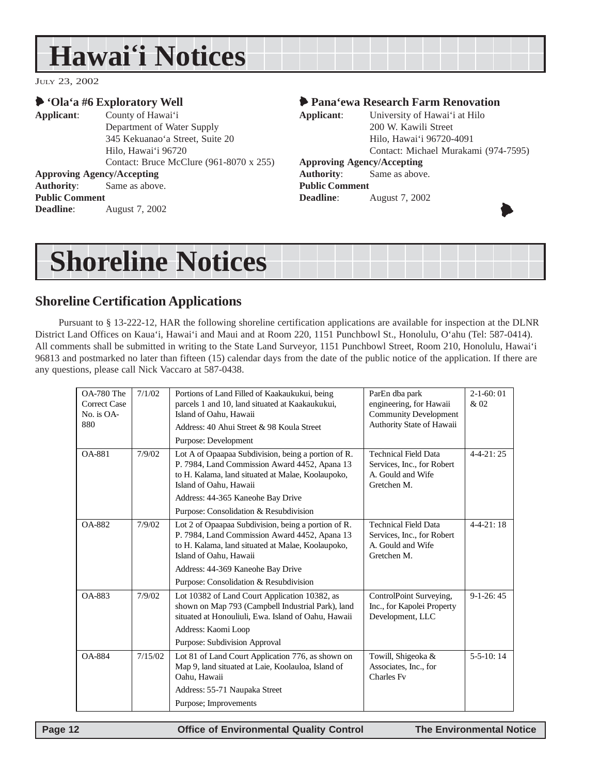## **Hawai'i Notices**

JULY 23, 2002

#### 6 **'Ola'a #6 Exploratory Well**

**Applicant**: County of Hawai'i Department of Water Supply 345 Kekuanao'a Street, Suite 20 Hilo, Hawai'i 96720 Contact: Bruce McClure (961-8070 x 255) **Approving Agency/Accepting Authority**: Same as above. **Public Comment Deadline**: August 7, 2002

#### 6 **Pana'ewa Research Farm Renovation**

**Applicant**: University of Hawai'i at Hilo 200 W. Kawili Street Hilo, Hawai'i 96720-4091 Contact: Michael Murakami (974-7595) **Approving Agency/Accepting Authority**: Same as above. **Public Comment**

 $\blacktriangleright$ 

**Deadline**: August 7, 2002

## **Shoreline Notices**

#### **Shoreline Certification Applications**

Pursuant to § 13-222-12, HAR the following shoreline certification applications are available for inspection at the DLNR District Land Offices on Kaua'i, Hawai'i and Maui and at Room 220, 1151 Punchbowl St., Honolulu, O'ahu (Tel: 587-0414). All comments shall be submitted in writing to the State Land Surveyor, 1151 Punchbowl Street, Room 210, Honolulu, Hawai'i 96813 and postmarked no later than fifteen (15) calendar days from the date of the public notice of the application. If there are any questions, please call Nick Vaccaro at 587-0438.

| OA-780 The<br>Correct Case<br>No. is $OA-$<br>880 | 7/1/02  | Portions of Land Filled of Kaakaukukui, being<br>parcels 1 and 10, land situated at Kaakaukukui,<br>Island of Oahu, Hawaii<br>Address: 40 Ahui Street & 98 Koula Street<br>Purpose: Development                                                                    | ParEn dba park<br>engineering, for Hawaii<br><b>Community Development</b><br>Authority State of Hawaii | $2-1-60:01$<br>&02 |
|---------------------------------------------------|---------|--------------------------------------------------------------------------------------------------------------------------------------------------------------------------------------------------------------------------------------------------------------------|--------------------------------------------------------------------------------------------------------|--------------------|
| <b>OA-881</b>                                     | 7/9/02  | Lot A of Opaapaa Subdivision, being a portion of R.<br>P. 7984, Land Commission Award 4452, Apana 13<br>to H. Kalama, land situated at Malae, Koolaupoko,<br>Island of Oahu, Hawaii<br>Address: 44-365 Kaneohe Bay Drive<br>Purpose: Consolidation & Resubdivision | <b>Technical Field Data</b><br>Services, Inc., for Robert<br>A. Gould and Wife<br>Gretchen M.          | $4 - 4 - 21:25$    |
| <b>OA-882</b>                                     | 7/9/02  | Lot 2 of Opaapaa Subdivision, being a portion of R.<br>P. 7984, Land Commission Award 4452, Apana 13<br>to H. Kalama, land situated at Malae, Koolaupoko,<br>Island of Oahu, Hawaii<br>Address: 44-369 Kaneohe Bay Drive<br>Purpose: Consolidation & Resubdivision | <b>Technical Field Data</b><br>Services, Inc., for Robert<br>A. Gould and Wife<br>Gretchen M.          | $4 - 4 - 21$ : 18  |
| <b>OA-883</b>                                     | 7/9/02  | Lot 10382 of Land Court Application 10382, as<br>shown on Map 793 (Campbell Industrial Park), land<br>situated at Honouliuli, Ewa. Island of Oahu, Hawaii<br>Address: Kaomi Loop<br>Purpose: Subdivision Approval                                                  | ControlPoint Surveying,<br>Inc., for Kapolei Property<br>Development, LLC                              | $9-1-26:45$        |
| <b>OA-884</b>                                     | 7/15/02 | Lot 81 of Land Court Application 776, as shown on<br>Map 9, land situated at Laie, Koolauloa, Island of<br>Oahu, Hawaii<br>Address: 55-71 Naupaka Street<br>Purpose; Improvements                                                                                  | Towill, Shigeoka &<br>Associates, Inc., for<br>Charles Fv                                              | $5 - 5 - 10$ : 14  |

 **Page 12 Control Control Control Control Page 12 The Environmental Notice Control Control Control**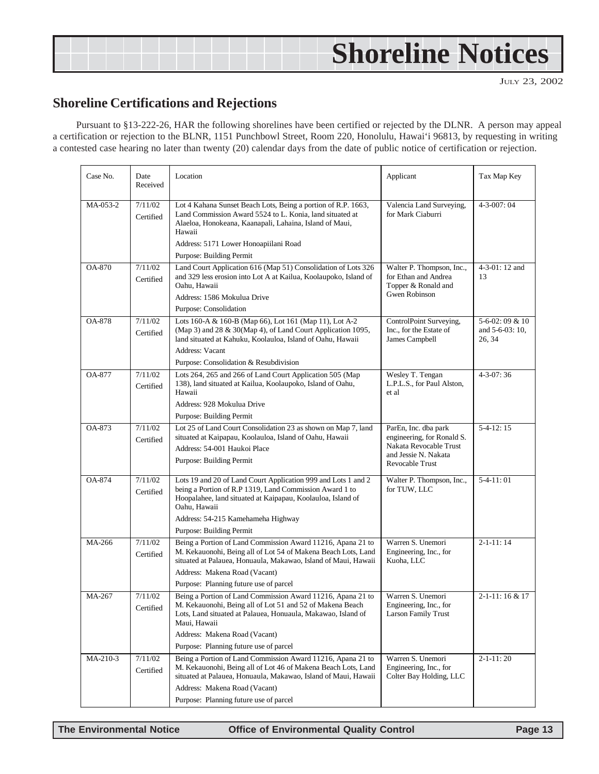# <span id="page-12-0"></span>**Shoreline Notices**

JULY 23, 2002

### **Shoreline Certifications and Rejections**

Pursuant to §13-222-26, HAR the following shorelines have been certified or rejected by the DLNR. A person may appeal a certification or rejection to the BLNR, 1151 Punchbowl Street, Room 220, Honolulu, Hawai'i 96813, by requesting in writing a contested case hearing no later than twenty (20) calendar days from the date of public notice of certification or rejection.

| Case No.      | Date<br>Received     | Location                                                                                                                                                                                                                                                                            | Applicant                                                                                                               | Tax Map Key                                    |
|---------------|----------------------|-------------------------------------------------------------------------------------------------------------------------------------------------------------------------------------------------------------------------------------------------------------------------------------|-------------------------------------------------------------------------------------------------------------------------|------------------------------------------------|
| MA-053-2      | 7/11/02<br>Certified | Lot 4 Kahana Sunset Beach Lots, Being a portion of R.P. 1663,<br>Land Commission Award 5524 to L. Konia, land situated at<br>Alaeloa, Honokeana, Kaanapali, Lahaina, Island of Maui,<br>Hawaii<br>Address: 5171 Lower Honoapiilani Road<br>Purpose: Building Permit                 | Valencia Land Surveying,<br>for Mark Ciaburri                                                                           | $4 - 3 - 007$ : 04                             |
| <b>OA-870</b> | 7/11/02<br>Certified | Land Court Application 616 (Map 51) Consolidation of Lots 326<br>and 329 less erosion into Lot A at Kailua, Koolaupoko, Island of<br>Oahu, Hawaii<br>Address: 1586 Mokulua Drive<br>Purpose: Consolidation                                                                          | Walter P. Thompson, Inc.,<br>for Ethan and Andrea<br>Topper & Ronald and<br>Gwen Robinson                               | 4-3-01: 12 and<br>13                           |
| <b>OA-878</b> | 7/11/02<br>Certified | Lots 160-A & 160-B (Map 66), Lot 161 (Map 11), Lot A-2<br>(Map 3) and 28 & 30(Map 4), of Land Court Application 1095,<br>land situated at Kahuku, Koolauloa, Island of Oahu, Hawaii<br><b>Address: Vacant</b><br>Purpose: Consolidation & Resubdivision                             | ControlPoint Surveying,<br>Inc., for the Estate of<br>James Campbell                                                    | 5-6-02: 09 & 10<br>and $5-6-03:10$ ,<br>26, 34 |
| OA-877        | 7/11/02<br>Certified | Lots 264, 265 and 266 of Land Court Application 505 (Map<br>138), land situated at Kailua, Koolaupoko, Island of Oahu,<br>Hawaii<br>Address: 928 Mokulua Drive<br>Purpose: Building Permit                                                                                          | Wesley T. Tengan<br>L.P.L.S., for Paul Alston,<br>et al                                                                 | $4 - 3 - 07:36$                                |
| OA-873        | 7/11/02<br>Certified | Lot 25 of Land Court Consolidation 23 as shown on Map 7, land<br>situated at Kaipapau, Koolauloa, Island of Oahu, Hawaii<br>Address: 54-001 Haukoi Place<br>Purpose: Building Permit                                                                                                | ParEn, Inc. dba park<br>engineering, for Ronald S.<br>Nakata Revocable Trust<br>and Jessie N. Nakata<br>Revocable Trust | $5-4-12:15$                                    |
| OA-874        | 7/11/02<br>Certified | Lots 19 and 20 of Land Court Application 999 and Lots 1 and 2<br>being a Portion of R.P 1319, Land Commission Award 1 to<br>Hoopalahee, land situated at Kaipapau, Koolauloa, Island of<br>Oahu, Hawaii<br>Address: 54-215 Kamehameha Highway<br>Purpose: Building Permit           | Walter P. Thompson, Inc.,<br>for TUW, LLC                                                                               | $5-4-11:01$                                    |
| MA-266        | 7/11/02<br>Certified | Being a Portion of Land Commission Award 11216, Apana 21 to<br>M. Kekauonohi, Being all of Lot 54 of Makena Beach Lots, Land<br>situated at Palauea, Honuaula, Makawao, Island of Maui, Hawaii<br>Address: Makena Road (Vacant)<br>Purpose: Planning future use of parcel           | Warren S. Unemori<br>Engineering, Inc., for<br>Kuoha, LLC                                                               | $2 - 1 - 11:14$                                |
| MA-267        | 7/11/02<br>Certified | Being a Portion of Land Commission Award 11216, Apana 21 to<br>M. Kekauonohi, Being all of Lot 51 and 52 of Makena Beach<br>Lots, Land situated at Palauea, Honuaula, Makawao, Island of<br>Maui, Hawaii<br>Address: Makena Road (Vacant)<br>Purpose: Planning future use of parcel | Warren S. Unemori<br>Engineering, Inc., for<br><b>Larson Family Trust</b>                                               | 2-1-11:16 & 17                                 |
| MA-210-3      | 7/11/02<br>Certified | Being a Portion of Land Commission Award 11216, Apana 21 to<br>M. Kekauonohi, Being all of Lot 46 of Makena Beach Lots, Land<br>situated at Palauea, Honuaula, Makawao, Island of Maui, Hawaii<br>Address: Makena Road (Vacant)<br>Purpose: Planning future use of parcel           | Warren S. Unemori<br>Engineering, Inc., for<br>Colter Bay Holding, LLC                                                  | $2 - 1 - 11:20$                                |

**The Environmental Notice Office of Environmental Quality Control Page 13**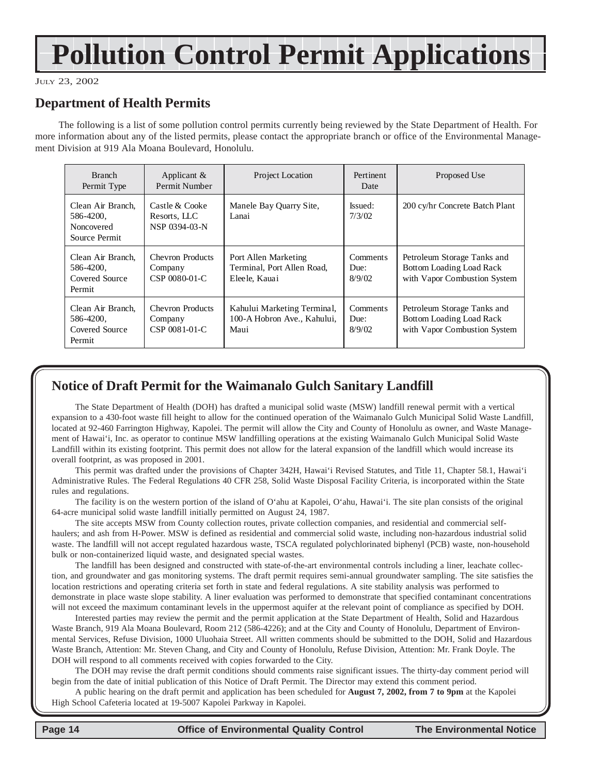# **Pollution Control Permit Applications**

#### JULY 23, 2002

### **Department of Health Permits**

The following is a list of some pollution control permits currently being reviewed by the State Department of Health. For more information about any of the listed permits, please contact the appropriate branch or office of the Environmental Management Division at 919 Ala Moana Boulevard, Honolulu.

| <b>Branch</b><br>Permit Type                                  | Applicant $&$<br>Permit Number                      | Project Location                                                    | Pertinent<br>Date                 | Proposed Use                                                                            |
|---------------------------------------------------------------|-----------------------------------------------------|---------------------------------------------------------------------|-----------------------------------|-----------------------------------------------------------------------------------------|
| Clean Air Branch.<br>586-4200.<br>Noncovered<br>Source Permit | Castle & Cooke<br>Resorts, LLC<br>NSP 0394-03-N     | Manele Bay Quarry Site,<br>Lanai                                    | Issued:<br>7/3/02                 | 200 cy/hr Concrete Batch Plant                                                          |
| Clean Air Branch.<br>586-4200.<br>Covered Source<br>Permit    | <b>Chevron Products</b><br>Company<br>CSP 0080-01-C | Port Allen Marketing<br>Terminal, Port Allen Road,<br>Eleele, Kauai | <b>Comments</b><br>Due:<br>8/9/02 | Petroleum Storage Tanks and<br>Bottom Loading Load Rack<br>with Vapor Combustion System |
| Clean Air Branch,<br>586-4200,<br>Covered Source<br>Permit    | <b>Chevron Products</b><br>Company<br>CSP 0081-01-C | Kahului Marketing Terminal,<br>100-A Hobron Ave., Kahului,<br>Maui  | Comments<br>Due:<br>8/9/02        | Petroleum Storage Tanks and<br>Bottom Loading Load Rack<br>with Vapor Combustion System |

## **Notice of Draft Permit for the Waimanalo Gulch Sanitary Landfill**

The State Department of Health (DOH) has drafted a municipal solid waste (MSW) landfill renewal permit with a vertical expansion to a 430-foot waste fill height to allow for the continued operation of the Waimanalo Gulch Municipal Solid Waste Landfill, located at 92-460 Farrington Highway, Kapolei. The permit will allow the City and County of Honolulu as owner, and Waste Management of Hawai'i, Inc. as operator to continue MSW landfilling operations at the existing Waimanalo Gulch Municipal Solid Waste Landfill within its existing footprint. This permit does not allow for the lateral expansion of the landfill which would increase its overall footprint, as was proposed in 2001.

This permit was drafted under the provisions of Chapter 342H, Hawai'i Revised Statutes, and Title 11, Chapter 58.1, Hawai'i Administrative Rules. The Federal Regulations 40 CFR 258, Solid Waste Disposal Facility Criteria, is incorporated within the State rules and regulations.

The facility is on the western portion of the island of O'ahu at Kapolei, O'ahu, Hawai'i. The site plan consists of the original 64-acre municipal solid waste landfill initially permitted on August 24, 1987.

The site accepts MSW from County collection routes, private collection companies, and residential and commercial selfhaulers; and ash from H-Power. MSW is defined as residential and commercial solid waste, including non-hazardous industrial solid waste. The landfill will not accept regulated hazardous waste, TSCA regulated polychlorinated biphenyl (PCB) waste, non-household bulk or non-containerized liquid waste, and designated special wastes.

The landfill has been designed and constructed with state-of-the-art environmental controls including a liner, leachate collection, and groundwater and gas monitoring systems. The draft permit requires semi-annual groundwater sampling. The site satisfies the location restrictions and operating criteria set forth in state and federal regulations. A site stability analysis was performed to demonstrate in place waste slope stability. A liner evaluation was performed to demonstrate that specified contaminant concentrations will not exceed the maximum contaminant levels in the uppermost aquifer at the relevant point of compliance as specified by DOH.

Interested parties may review the permit and the permit application at the State Department of Health, Solid and Hazardous Waste Branch, 919 Ala Moana Boulevard, Room 212 (586-4226); and at the City and County of Honolulu, Department of Environmental Services, Refuse Division, 1000 Uluohaia Street. All written comments should be submitted to the DOH, Solid and Hazardous Waste Branch, Attention: Mr. Steven Chang, and City and County of Honolulu, Refuse Division, Attention: Mr. Frank Doyle. The DOH will respond to all comments received with copies forwarded to the City.

The DOH may revise the draft permit conditions should comments raise significant issues. The thirty-day comment period will begin from the date of initial publication of this Notice of Draft Permit. The Director may extend this comment period.

A public hearing on the draft permit and application has been scheduled for **August 7, 2002, from 7 to 9pm** at the Kapolei High School Cafeteria located at 19-5007 Kapolei Parkway in Kapolei.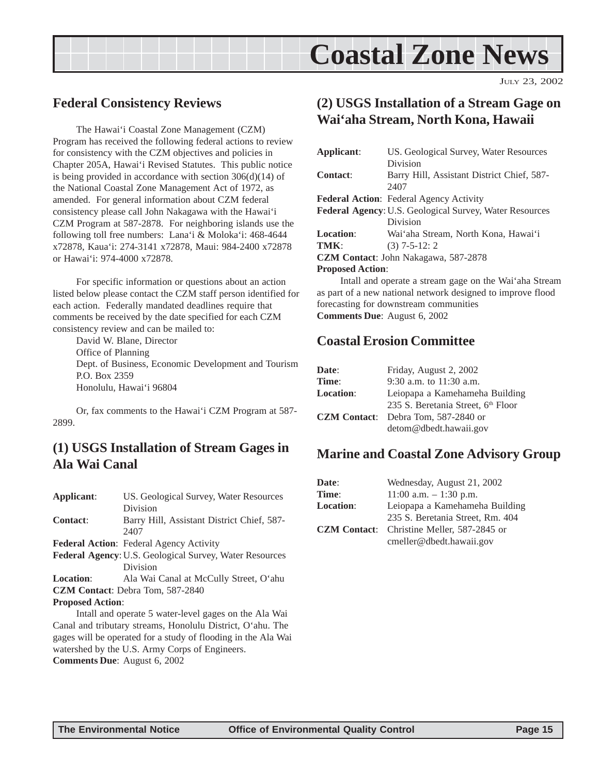## **Coastal Zone News**

JULY 23, 2002

## <span id="page-14-0"></span>**Federal Consistency Reviews**

The Hawai'i Coastal Zone Management (CZM) Program has received the following federal actions to review for consistency with the CZM objectives and policies in Chapter 205A, Hawai'i Revised Statutes. This public notice is being provided in accordance with section 306(d)(14) of the National Coastal Zone Management Act of 1972, as amended. For general information about CZM federal consistency please call John Nakagawa with the Hawai'i CZM Program at 587-2878. For neighboring islands use the following toll free numbers: Lana'i & Moloka'i: 468-4644 x72878, Kaua'i: 274-3141 x72878, Maui: 984-2400 x72878 or Hawai'i: 974-4000 x72878.

For specific information or questions about an action listed below please contact the CZM staff person identified for each action. Federally mandated deadlines require that comments be received by the date specified for each CZM consistency review and can be mailed to:

David W. Blane, Director Office of Planning Dept. of Business, Economic Development and Tourism P.O. Box 2359 Honolulu, Hawai'i 96804

Or, fax comments to the Hawai'i CZM Program at 587- 2899.

## **(1) USGS Installation of Stream Gages in Ala Wai Canal**

| Applicant:              | US. Geological Survey, Water Resources                     |
|-------------------------|------------------------------------------------------------|
|                         | Division                                                   |
| <b>Contact:</b>         | Barry Hill, Assistant District Chief, 587-                 |
|                         | 2407                                                       |
|                         | <b>Federal Action:</b> Federal Agency Activity             |
|                         | Federal Agency: U.S. Geological Survey, Water Resources    |
|                         | Division                                                   |
| <b>Location:</b>        | Ala Wai Canal at McCully Street, O'ahu                     |
|                         | <b>CZM Contact:</b> Debra Tom, 587-2840                    |
| <b>Proposed Action:</b> |                                                            |
|                         | Intall and operate 5 water-level gages on the Ala Wai      |
|                         | Canal and tributary streams, Honolulu District, O'ahu. The |

Canal and tributary streams, Honolulu District, O'ahu. The gages will be operated for a study of flooding in the Ala Wai watershed by the U.S. Army Corps of Engineers. **Comments Due**: August 6, 2002

## **(2) USGS Installation of a Stream Gage on Wai'aha Stream, North Kona, Hawaii**

| Applicant:                                              | US. Geological Survey, Water Resources                 |  |
|---------------------------------------------------------|--------------------------------------------------------|--|
|                                                         | Division                                               |  |
| <b>Contact:</b>                                         | Barry Hill, Assistant District Chief, 587-             |  |
|                                                         | 2407                                                   |  |
|                                                         | <b>Federal Action:</b> Federal Agency Activity         |  |
| Federal Agency: U.S. Geological Survey, Water Resources |                                                        |  |
|                                                         | Division                                               |  |
| <b>Location:</b>                                        | Wai'aha Stream, North Kona, Hawai'i                    |  |
| TMK:                                                    | $(3)$ 7-5-12: 2                                        |  |
| <b>CZM Contact:</b> John Nakagawa, 587-2878             |                                                        |  |
| <b>Proposed Action:</b>                                 |                                                        |  |
|                                                         | Intall and operate a stream gage on the Wai'aha Stream |  |

as part of a new national network designed to improve flood forecasting for downstream communities **Comments Due**: August 6, 2002

### **Coastal Erosion Committee**

| Date:            | Friday, August 2, 2002                     |
|------------------|--------------------------------------------|
| Time:            | 9:30 a.m. to $11:30$ a.m.                  |
| <b>Location:</b> | Leiopapa a Kamehameha Building             |
|                  | 235 S. Beretania Street, 6th Floor         |
|                  | <b>CZM Contact:</b> Debra Tom, 587-2840 or |
|                  | detom@dbedt.hawaii.gov                     |

### **Marine and Coastal Zone Advisory Group**

| Date:               | Wednesday, August 21, 2002       |  |  |
|---------------------|----------------------------------|--|--|
| Time:               | $11:00$ a.m. $-1:30$ p.m.        |  |  |
| <b>Location:</b>    | Leiopapa a Kamehameha Building   |  |  |
|                     | 235 S. Beretania Street, Rm. 404 |  |  |
| <b>CZM</b> Contact: | Christine Meller, 587-2845 or    |  |  |
|                     | cmeller@dbedt.hawaii.gov         |  |  |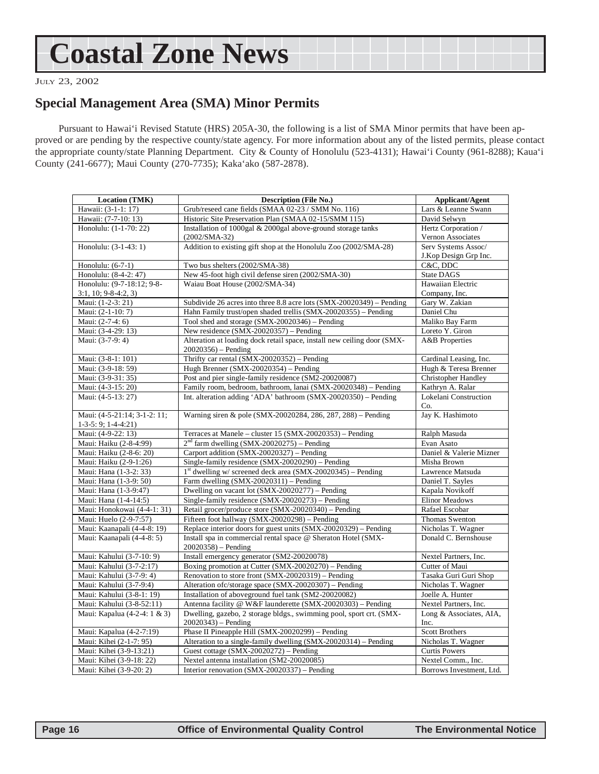# <span id="page-15-0"></span>**Coastal Zone News**

JULY 23, 2002

### **Special Management Area (SMA) Minor Permits**

Pursuant to Hawai'i Revised Statute (HRS) 205A-30, the following is a list of SMA Minor permits that have been approved or are pending by the respective county/state agency. For more information about any of the listed permits, please contact the appropriate county/state Planning Department. City & County of Honolulu (523-4131); Hawai'i County (961-8288); Kaua'i County (241-6677); Maui County (270-7735); Kaka'ako (587-2878).

| <b>Location (TMK)</b>                                 | <b>Description (File No.)</b>                                                                   | <b>Applicant/Agent</b>          |
|-------------------------------------------------------|-------------------------------------------------------------------------------------------------|---------------------------------|
| Hawaii: (3-1-1: 17)                                   | Grub/reseed cane fields (SMAA 02-23 / SMM No. 116)                                              | Lars & Leanne Swann             |
| Hawaii: (7-7-10: 13)                                  | Historic Site Preservation Plan (SMAA 02-15/SMM 115)                                            | David Selwyn                    |
| Honolulu: (1-1-70: 22)                                | Installation of 1000gal & 2000gal above-ground storage tanks                                    | Hertz Corporation /             |
|                                                       | $(2002/SMA-32)$                                                                                 | Vernon Associates               |
| Honolulu: (3-1-43: 1)                                 | Addition to existing gift shop at the Honolulu Zoo (2002/SMA-28)                                | Serv Systems Assoc/             |
|                                                       |                                                                                                 | J.Kop Design Grp Inc.           |
| Honolulu: (6-7-1)                                     | Two bus shelters (2002/SMA-38)                                                                  | C&C, DDC                        |
| Honolulu: (8-4-2: 47)                                 | New 45-foot high civil defense siren (2002/SMA-30)                                              | State DAGS                      |
| Honolulu: (9-7-18:12; 9-8-                            | Waiau Boat House (2002/SMA-34)                                                                  | Hawaiian Electric               |
| $3:1, 10; 9-8-4:2, 3$                                 |                                                                                                 | Company, Inc.                   |
| Maui: (1-2-3: 21)                                     | Subdivide 26 acres into three 8.8 acre lots (SMX-20020349) - Pending                            | Gary W. Zakian                  |
| Maui: (2-1-10: 7)                                     | Hahn Family trust/open shaded trellis (SMX-20020355) – Pending                                  | Daniel Chu                      |
| Maui: (2-7-4: 6)                                      | Tool shed and storage (SMX-20020346) - Pending                                                  | Maliko Bay Farm                 |
| Maui: (3-4-29: 13)                                    | New residence $(SMX-20020357)$ – Pending                                                        | Loreto Y. Giron                 |
| Maui: (3-7-9: 4)                                      | Alteration at loading dock retail space, install new ceiling door (SMX-<br>$20020356$ – Pending | <b>A&amp;B</b> Properties       |
| Maui: (3-8-1: 101)                                    | Thrifty car rental (SMX-20020352) - Pending                                                     | Cardinal Leasing, Inc.          |
| Maui: (3-9-18: 59)                                    | Hugh Brenner (SMX-20020354) - Pending                                                           | Hugh & Teresa Brenner           |
| Maui: (3-9-31: 35)                                    | Post and pier single-family residence (SM2-20020087)                                            | <b>Christopher Handley</b>      |
| Maui: (4-3-15: 20)                                    | Family room, bedroom, bathroom, lanai (SMX-20020348) - Pending                                  | Kathryn A. Ralar                |
| Maui: (4-5-13: 27)                                    | Int. alteration adding 'ADA' bathroom (SMX-20020350) - Pending                                  | Lokelani Construction<br>Co.    |
| Maui: (4-5-21:14; 3-1-2: 11;<br>$1-3-5: 9; 1-4-4:21)$ | Warning siren & pole (SMX-20020284, 286, 287, 288) - Pending                                    | Jay K. Hashimoto                |
| Maui: (4-9-22: 13)                                    | Terraces at Manele - cluster 15 (SMX-20020353) - Pending                                        | Ralph Masuda                    |
| Maui: Haiku (2-8-4:99)                                | $2nd$ farm dwelling (SMX-20020275) – Pending                                                    | Evan Asato                      |
| Maui: Haiku (2-8-6: 20)                               | Carport addition (SMX-20020327) – Pending                                                       | Daniel & Valerie Mizner         |
| Maui: Haiku (2-9-1:26)                                | Single-family residence (SMX-20020290) - Pending                                                | Misha Brown                     |
| Maui: Hana (1-3-2: 33)                                | $1st$ dwelling w/ screened deck area (SMX-20020345) - Pending                                   | Lawrence Matsuda                |
| Maui: Hana (1-3-9: 50)                                | Farm dwelling $(SMX-20020311)$ – Pending                                                        | Daniel T. Sayles                |
| Maui: Hana (1-3-9:47)                                 | Dwelling on vacant lot (SMX-20020277) - Pending                                                 | Kapala Novikoff                 |
| Maui: Hana (1-4-14:5)                                 | Single-family residence (SMX-20020273) - Pending                                                | Elinor Meadows                  |
| Maui: Honokowai (4-4-1: 31)                           | Retail grocer/produce store (SMX-20020340) – Pending                                            | Rafael Escobar                  |
| Maui: Huelo (2-9-7:57)                                | Fifteen foot hallway (SMX-20020298) - Pending                                                   | Thomas Swenton                  |
| Maui: Kaanapali (4-4-8: 19)                           | Replace interior doors for guest units (SMX-20020329) – Pending                                 | Nicholas T. Wagner              |
| Maui: Kaanapali (4-4-8: 5)                            | Install spa in commercial rental space @ Sheraton Hotel (SMX-                                   | Donald C. Bernshouse            |
|                                                       | $20020358$ – Pending                                                                            |                                 |
| Maui: Kahului (3-7-10: 9)                             | Install emergency generator (SM2-20020078)                                                      | Nextel Partners, Inc.           |
| Maui: Kahului (3-7-2:17)                              | Boxing promotion at Cutter (SMX-20020270) - Pending                                             | Cutter of Maui                  |
| Maui: Kahului (3-7-9: 4)                              | Renovation to store front (SMX-20020319) – Pending                                              | Tasaka Guri Guri Shop           |
| Maui: Kahului (3-7-9:4)                               | Alteration of c/storage space (SMX-20020307) - Pending                                          | Nicholas T. Wagner              |
| Maui: Kahului (3-8-1: 19)                             | Installation of above ground fuel tank (SM2-20020082)                                           | Joelle A. Hunter                |
| Maui: Kahului (3-8-52:11)                             | Antenna facility @ W&F launderette (SMX-20020303) – Pending                                     | Nextel Partners, Inc.           |
| Maui: Kapalua (4-2-4: 1 & 3)                          | Dwelling, gazebo, 2 storage bldgs., swimming pool, sport crt. (SMX-<br>$20020343$ – Pending     | Long & Associates, AIA,<br>Inc. |
| Maui: Kapalua (4-2-7:19)                              | Phase II Pineapple Hill (SMX-20020299) - Pending                                                | <b>Scott Brothers</b>           |
| Maui: Kihei (2-1-7: 95)                               | Alteration to a single-family dwelling (SMX-20020314) - Pending                                 | Nicholas T. Wagner              |
| Maui: Kihei (3-9-13:21)                               | Guest cottage $(SMX-20020272)$ – Pending                                                        | <b>Curtis Powers</b>            |
| Maui: Kihei (3-9-18: 22)                              | Nextel antenna installation (SM2-20020085)                                                      | Nextel Comm., Inc.              |
| Maui: Kihei (3-9-20: 2)                               | Interior renovation (SMX-20020337) - Pending                                                    | Borrows Investment, Ltd.        |
|                                                       |                                                                                                 |                                 |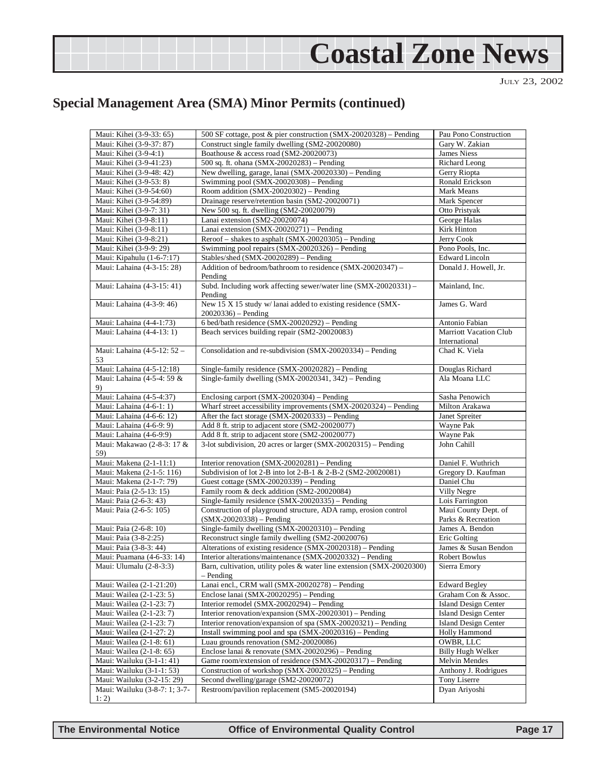## **Coastal Zone News**

JULY 23, 2002

## **Special Management Area (SMA) Minor Permits (continued)**

| Maui: Kihei (3-9-33: 65)         | 500 SF cottage, post & pier construction (SMX-20020328) - Pending      | Pau Pono Construction         |
|----------------------------------|------------------------------------------------------------------------|-------------------------------|
| Maui: Kihei (3-9-37: 87)         | Construct single family dwelling (SM2-20020080)                        | Gary W. Zakian                |
| Maui: Kihei (3-9-4:1)            | Boathouse & access road (SM2-20020073)                                 | James Niess                   |
| Maui: Kihei (3-9-41:23)          | 500 sq. ft. ohana (SMX-20020283) - Pending                             | Richard Leong                 |
| Maui: Kihei (3-9-48: 42)         | New dwelling, garage, lanai (SMX-20020330) - Pending                   | Gerry Riopta                  |
| Maui: Kihei (3-9-53: 8)          | Swimming pool (SMX-20020308) - Pending                                 | Ronald Erickson               |
| Maui: Kihei (3-9-54:60)          | Room addition (SMX-20020302) - Pending                                 | Mark Means                    |
| Maui: Kihei (3-9-54:89)          | Drainage reserve/retention basin (SM2-20020071)                        | Mark Spencer                  |
| Maui: Kihei (3-9-7: 31)          | New 500 sq. ft. dwelling (SM2-20020079)                                | Otto Pristyak                 |
| Maui: Kihei (3-9-8:11)           | Lanai extension (SM2-20020074)                                         | George Halas                  |
| Maui: Kihei (3-9-8:11)           | Lanai extension (SMX-20020271) - Pending                               | Kirk Hinton                   |
| Maui: Kihei (3-9-8:21)           | Reroof - shakes to asphalt (SMX-20020305) - Pending                    | Jerry Cook                    |
| Maui: Kihei (3-9-9: 29)          | Swimming pool repairs (SMX-20020326) – Pending                         | Pono Pools, Inc.              |
|                                  |                                                                        | <b>Edward Lincoln</b>         |
| Maui: Kipahulu (1-6-7:17)        | Stables/shed (SMX-20020289) - Pending                                  |                               |
| Maui: Lahaina (4-3-15: 28)       | Addition of bedroom/bathroom to residence (SMX-20020347) -<br>Pending  | Donald J. Howell, Jr.         |
| Maui: Lahaina (4-3-15: 41)       | Subd. Including work affecting sewer/water line (SMX-20020331) -       | Mainland, Inc.                |
|                                  | Pending                                                                |                               |
| Maui: Lahaina (4-3-9: 46)        | New 15 X 15 study w/lanai added to existing residence (SMX-            | James G. Ward                 |
|                                  | $20020336$ – Pending                                                   |                               |
| Maui: Lahaina (4-4-1:73)         | 6 bed/bath residence (SMX-20020292) - Pending                          | Antonio Fabian                |
| Maui: Lahaina (4-4-13: 1)        | Beach services building repair (SM2-20020083)                          | <b>Marriott Vacation Club</b> |
|                                  |                                                                        | International                 |
| Maui: Lahaina (4-5-12: 52 -      | Consolidation and re-subdivision (SMX-20020334) – Pending              | Chad K. Viela                 |
| 53                               |                                                                        |                               |
| Maui: Lahaina (4-5-12:18)        | Single-family residence (SMX-20020282) - Pending                       | Douglas Richard               |
| Maui: Lahaina (4-5-4: 59 &<br>9) | Single-family dwelling (SMX-20020341, 342) – Pending                   | Ala Moana LLC                 |
| Maui: Lahaina (4-5-4:37)         | Enclosing carport $(SMX-20020304)$ – Pending                           | Sasha Penowich                |
| Maui: Lahaina (4-6-1: 1)         | Wharf street accessibility improvements (SMX-20020324) - Pending       | Milton Arakawa                |
| Maui: Lahaina (4-6-6: 12)        | After the fact storage (SMX-20020333) - Pending                        | Janet Spreiter                |
| Maui: Lahaina (4-6-9: 9)         | Add 8 ft. strip to adjacent store (SM2-20020077)                       | Wayne Pak                     |
| Maui: Lahaina (4-6-9:9)          | Add 8 ft. strip to adjacent store (SM2-20020077)                       | Wayne Pak                     |
| Maui: Makawao (2-8-3: 17 &       | 3-lot subdivision, 20 acres or larger (SMX-20020315) - Pending         | John Cahill                   |
| 59)                              |                                                                        |                               |
| Maui: Makena (2-1-11:1)          | Interior renovation (SMX-20020281) – Pending                           | Daniel F. Wuthrich            |
| Maui: Makena (2-1-5: 116)        | Subdivision of lot 2-B into lot 2-B-1 & 2-B-2 (SM2-20020081)           | Gregory D. Kaufman            |
| Maui: Makena (2-1-7: 79)         | Guest cottage $(SMX-20020339)$ – Pending                               | Daniel Chu                    |
| Maui: Paia (2-5-13: 15)          | Family room & deck addition (SM2-20020084)                             | Villy Negre                   |
| Maui: Paia (2-6-3: 43)           | Single-family residence (SMX-20020335) – Pending                       | Lois Farrington               |
| Maui: Paia (2-6-5: 105)          | Construction of playground structure, ADA ramp, erosion control        | Maui County Dept. of          |
|                                  | $(SMX-20020338)$ – Pending                                             | Parks & Recreation            |
| Maui: Paia (2-6-8: 10)           | Single-family dwelling $(SMX-20020310)$ – Pending                      | James A. Bendon               |
| Maui: Paia (3-8-2:25)            | Reconstruct single family dwelling (SM2-20020076)                      | Eric Golting                  |
| Maui: Paia (3-8-3: 44)           | Alterations of existing residence (SMX-20020318) – Pending             | James & Susan Bendon          |
| Maui: Puamana (4-6-33: 14)       | Interior alterations/maintenance (SMX-20020332) - Pending              | Robert Bowlus                 |
| Maui: Ulumalu (2-8-3:3)          | Barn, cultivation, utility poles & water line extension (SMX-20020300) | Sierra Emory                  |
|                                  | – Pending                                                              |                               |
| Maui: Wailea (2-1-21:20)         | Lanai encl., CRM wall (SMX-20020278) - Pending                         | <b>Edward Begley</b>          |
| Maui: Wailea (2-1-23: 5)         | Enclose lanai (SMX-20020295) – Pending                                 | Graham Con & Assoc.           |
| Maui: Wailea (2-1-23: 7)         | Interior remodel $(SMX-20020294)$ – Pending                            | Island Design Center          |
| Maui: Wailea (2-1-23: 7)         | Interior renovation/expansion (SMX-20020301) – Pending                 | Island Design Center          |
| Maui: Wailea (2-1-23: 7)         | Interior renovation/expansion of spa (SMX-20020321) – Pending          | Island Design Center          |
| Maui: Wailea (2-1-27: 2)         | Install swimming pool and spa (SMX-20020316) - Pending                 | Holly Hammond                 |
| Maui: Wailea (2-1-8: 61)         | Luau grounds renovation (SM2-20020086)                                 | OWBR, LLC                     |
| Maui: Wailea (2-1-8: 65)         | Enclose lanai & renovate (SMX-20020296) – Pending                      | <b>Billy Hugh Welker</b>      |
| Maui: Wailuku (3-1-1: 41)        |                                                                        |                               |
|                                  | Game room/extension of residence (SMX-20020317) - Pending              | Melvin Mendes                 |
| Maui: Wailuku (3-1-1: 53)        | Construction of workshop (SMX-20020325) - Pending                      | Anthony J. Rodrigues          |
| Maui: Wailuku (3-2-15: 29)       | Second dwelling/garage (SM2-20020072)                                  | <b>Tony Liserre</b>           |
| Maui: Wailuku (3-8-7: 1: 3-7-    | Restroom/pavilion replacement (SM5-20020194)                           | Dyan Ariyoshi                 |
| 1:2)                             |                                                                        |                               |

**The Environmental Notice Office of Environmental Quality Control Page 17**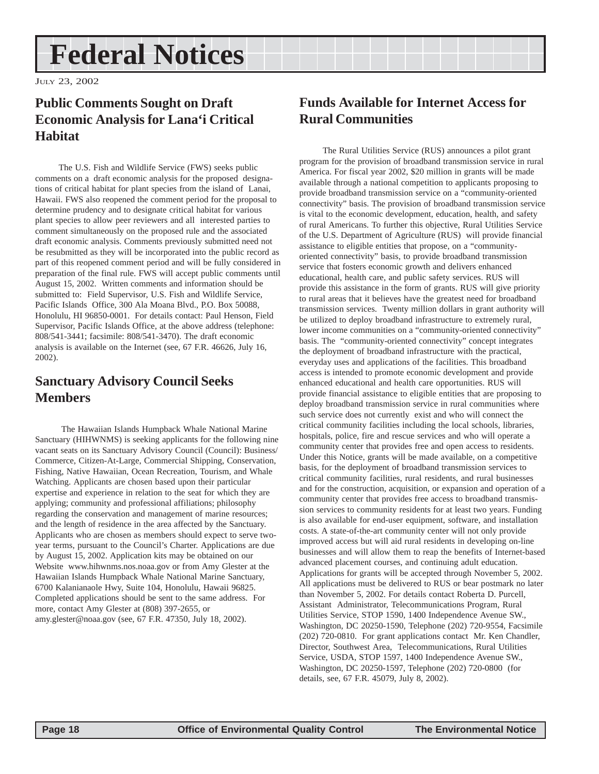## <span id="page-17-0"></span>**Federal Notices**

JULY 23, 2002

## **Public Comments Sought on Draft Economic Analysis for Lana'i Critical Habitat**

The U.S. Fish and Wildlife Service (FWS) seeks public comments on a draft economic analysis for the proposed designations of critical habitat for plant species from the island of Lanai, Hawaii. FWS also reopened the comment period for the proposal to determine prudency and to designate critical habitat for various plant species to allow peer reviewers and all interested parties to comment simultaneously on the proposed rule and the associated draft economic analysis. Comments previously submitted need not be resubmitted as they will be incorporated into the public record as part of this reopened comment period and will be fully considered in preparation of the final rule. FWS will accept public comments until August 15, 2002. Written comments and information should be submitted to: Field Supervisor, U.S. Fish and Wildlife Service, Pacific Islands Office, 300 Ala Moana Blvd., P.O. Box 50088, Honolulu, HI 96850-0001. For details contact: Paul Henson, Field Supervisor, Pacific Islands Office, at the above address (telephone: 808/541-3441; facsimile: 808/541-3470). The draft economic analysis is available on the Internet (see, 67 F.R. 46626, July 16, 2002).

## **Sanctuary Advisory Council Seeks Members**

 The Hawaiian Islands Humpback Whale National Marine Sanctuary (HIHWNMS) is seeking applicants for the following nine vacant seats on its Sanctuary Advisory Council (Council): Business/ Commerce, Citizen-At-Large, Commercial Shipping, Conservation, Fishing, Native Hawaiian, Ocean Recreation, Tourism, and Whale Watching. Applicants are chosen based upon their particular expertise and experience in relation to the seat for which they are applying; community and professional affiliations; philosophy regarding the conservation and management of marine resources; and the length of residence in the area affected by the Sanctuary. Applicants who are chosen as members should expect to serve twoyear terms, pursuant to the Council's Charter. Applications are due by August 15, 2002. Application kits may be obtained on our Website www.hihwnms.nos.noaa.gov or from Amy Glester at the Hawaiian Islands Humpback Whale National Marine Sanctuary, 6700 Kalanianaole Hwy, Suite 104, Honolulu, Hawaii 96825. Completed applications should be sent to the same address. For more, contact Amy Glester at (808) 397-2655, or amy.glester@noaa.gov (see, 67 F.R. 47350, July 18, 2002).

## **Funds Available for Internet Access for Rural Communities**

The Rural Utilities Service (RUS) announces a pilot grant program for the provision of broadband transmission service in rural America. For fiscal year 2002, \$20 million in grants will be made available through a national competition to applicants proposing to provide broadband transmission service on a "community-oriented connectivity" basis. The provision of broadband transmission service is vital to the economic development, education, health, and safety of rural Americans. To further this objective, Rural Utilities Service of the U.S. Department of Agriculture (RUS) will provide financial assistance to eligible entities that propose, on a "communityoriented connectivity" basis, to provide broadband transmission service that fosters economic growth and delivers enhanced educational, health care, and public safety services. RUS will provide this assistance in the form of grants. RUS will give priority to rural areas that it believes have the greatest need for broadband transmission services. Twenty million dollars in grant authority will be utilized to deploy broadband infrastructure to extremely rural, lower income communities on a "community-oriented connectivity" basis. The "community-oriented connectivity" concept integrates the deployment of broadband infrastructure with the practical, everyday uses and applications of the facilities. This broadband access is intended to promote economic development and provide enhanced educational and health care opportunities. RUS will provide financial assistance to eligible entities that are proposing to deploy broadband transmission service in rural communities where such service does not currently exist and who will connect the critical community facilities including the local schools, libraries, hospitals, police, fire and rescue services and who will operate a community center that provides free and open access to residents. Under this Notice, grants will be made available, on a competitive basis, for the deployment of broadband transmission services to critical community facilities, rural residents, and rural businesses and for the construction, acquisition, or expansion and operation of a community center that provides free access to broadband transmission services to community residents for at least two years. Funding is also available for end-user equipment, software, and installation costs. A state-of-the-art community center will not only provide improved access but will aid rural residents in developing on-line businesses and will allow them to reap the benefits of Internet-based advanced placement courses, and continuing adult education. Applications for grants will be accepted through November 5, 2002. All applications must be delivered to RUS or bear postmark no later than November 5, 2002. For details contact Roberta D. Purcell, Assistant Administrator, Telecommunications Program, Rural Utilities Service, STOP 1590, 1400 Independence Avenue SW., Washington, DC 20250-1590, Telephone (202) 720-9554, Facsimile (202) 720-0810. For grant applications contact Mr. Ken Chandler, Director, Southwest Area, Telecommunications, Rural Utilities Service, USDA, STOP 1597, 1400 Independence Avenue SW., Washington, DC 20250-1597, Telephone (202) 720-0800 (for details, see, 67 F.R. 45079, July 8, 2002).